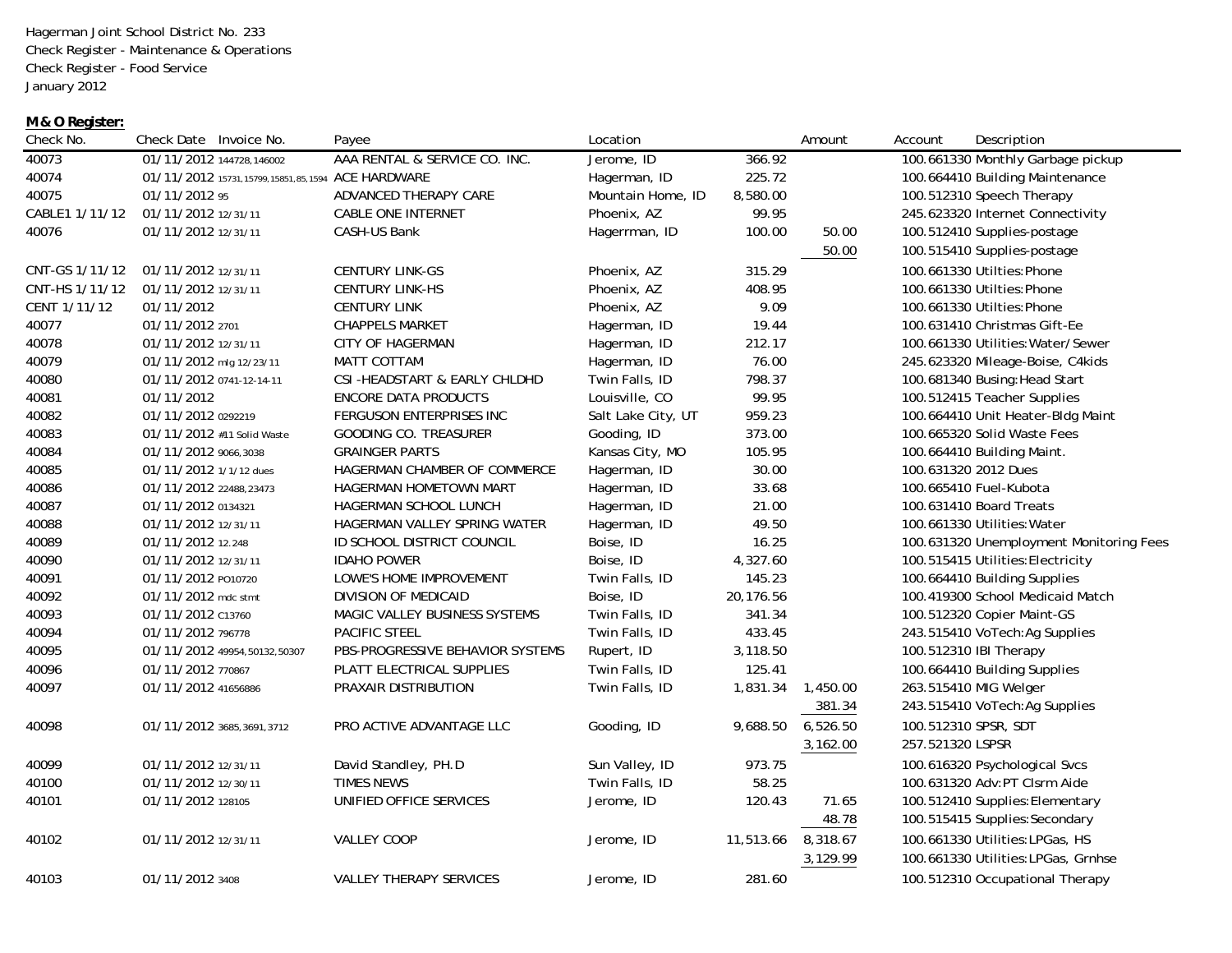Hagerman Joint School District No. 233 Check Register - Maintenance & Operations Check Register - Food Service January 2012

## **M & O Register:**

| Check No.      | Check Date Invoice No.                                | Payee                                | Location           |           | Amount   | Account          | Description                             |
|----------------|-------------------------------------------------------|--------------------------------------|--------------------|-----------|----------|------------------|-----------------------------------------|
| 40073          | 01/11/2012 144728,146002                              | AAA RENTAL & SERVICE CO. INC.        | Jerome, ID         | 366.92    |          |                  | 100.661330 Monthly Garbage pickup       |
| 40074          | 01/11/2012 15731, 15799, 15851, 85, 1594 ACE HARDWARE |                                      | Hagerman, ID       | 225.72    |          |                  | 100.664410 Building Maintenance         |
| 40075          | 01/11/2012 95                                         | ADVANCED THERAPY CARE                | Mountain Home, ID  | 8,580.00  |          |                  | 100.512310 Speech Therapy               |
| CABLE1 1/11/12 | 01/11/2012 12/31/11                                   | <b>CABLE ONE INTERNET</b>            | Phoenix, AZ        | 99.95     |          |                  | 245.623320 Internet Connectivity        |
| 40076          | 01/11/2012 12/31/11                                   | CASH-US Bank                         | Hagerrman, ID      | 100.00    | 50.00    |                  | 100.512410 Supplies-postage             |
|                |                                                       |                                      |                    |           | 50.00    |                  | 100.515410 Supplies-postage             |
| CNT-GS 1/11/12 | 01/11/2012 12/31/11                                   | <b>CENTURY LINK-GS</b>               | Phoenix, AZ        | 315.29    |          |                  | 100.661330 Utilties: Phone              |
| CNT-HS 1/11/12 | 01/11/2012 12/31/11                                   | <b>CENTURY LINK-HS</b>               | Phoenix, AZ        | 408.95    |          |                  | 100.661330 Utilties: Phone              |
| CENT 1/11/12   | 01/11/2012                                            | <b>CENTURY LINK</b>                  | Phoenix, AZ        | 9.09      |          |                  | 100.661330 Utilties: Phone              |
| 40077          | 01/11/2012 2701                                       | <b>CHAPPELS MARKET</b>               | Hagerman, ID       | 19.44     |          |                  | 100.631410 Christmas Gift-Ee            |
| 40078          | 01/11/2012 12/31/11                                   | <b>CITY OF HAGERMAN</b>              | Hagerman, ID       | 212.17    |          |                  | 100.661330 Utilities: Water/Sewer       |
| 40079          | 01/11/2012 mlg 12/23/11                               | MATT COTTAM                          | Hagerman, ID       | 76.00     |          |                  | 245.623320 Mileage-Boise, C4kids        |
| 40080          | 01/11/2012 0741-12-14-11                              | CSI-HEADSTART & EARLY CHLDHD         | Twin Falls, ID     | 798.37    |          |                  | 100.681340 Busing: Head Start           |
| 40081          | 01/11/2012                                            | <b>ENCORE DATA PRODUCTS</b>          | Louisville, CO     | 99.95     |          |                  | 100.512415 Teacher Supplies             |
| 40082          | 01/11/2012 0292219                                    | FERGUSON ENTERPRISES INC             | Salt Lake City, UT | 959.23    |          |                  | 100.664410 Unit Heater-Bldg Maint       |
| 40083          | 01/11/2012 #11 Solid Waste                            | <b>GOODING CO. TREASURER</b>         | Gooding, ID        | 373.00    |          |                  | 100.665320 Solid Waste Fees             |
| 40084          | 01/11/2012 9066,3038                                  | <b>GRAINGER PARTS</b>                | Kansas City, MO    | 105.95    |          |                  | 100.664410 Building Maint.              |
| 40085          | 01/11/2012 1/1/12 dues                                | HAGERMAN CHAMBER OF COMMERCE         | Hagerman, ID       | 30.00     |          |                  | 100.631320 2012 Dues                    |
| 40086          | 01/11/2012 22488.23473                                | <b>HAGERMAN HOMETOWN MART</b>        | Hagerman, ID       | 33.68     |          |                  | 100.665410 Fuel-Kubota                  |
| 40087          | 01/11/2012 0134321                                    | HAGERMAN SCHOOL LUNCH                | Hagerman, ID       | 21.00     |          |                  | 100.631410 Board Treats                 |
| 40088          | 01/11/2012 12/31/11                                   | HAGERMAN VALLEY SPRING WATER         | Hagerman, ID       | 49.50     |          |                  | 100.661330 Utilities: Water             |
| 40089          | 01/11/2012 12.248                                     | ID SCHOOL DISTRICT COUNCIL           | Boise, ID          | 16.25     |          |                  | 100.631320 Unemployment Monitoring Fees |
| 40090          | 01/11/2012 12/31/11                                   | <b>IDAHO POWER</b>                   | Boise, ID          | 4,327.60  |          |                  | 100.515415 Utilities: Electricity       |
| 40091          | 01/11/2012 P010720                                    | LOWE'S HOME IMPROVEMENT              | Twin Falls, ID     | 145.23    |          |                  | 100.664410 Building Supplies            |
| 40092          | 01/11/2012 mdc stmt                                   | DIVISION OF MEDICAID                 | Boise, ID          | 20,176.56 |          |                  | 100.419300 School Medicaid Match        |
| 40093          | 01/11/2012 C13760                                     | <b>MAGIC VALLEY BUSINESS SYSTEMS</b> | Twin Falls, ID     | 341.34    |          |                  | 100.512320 Copier Maint-GS              |
| 40094          | 01/11/2012 796778                                     | <b>PACIFIC STEEL</b>                 | Twin Falls, ID     | 433.45    |          |                  | 243.515410 VoTech: Ag Supplies          |
| 40095          | 01/11/2012 49954,50132,50307                          | PBS-PROGRESSIVE BEHAVIOR SYSTEMS     | Rupert, ID         | 3,118.50  |          |                  | 100.512310 IBI Therapy                  |
| 40096          | 01/11/2012 770867                                     | PLATT ELECTRICAL SUPPLIES            | Twin Falls, ID     | 125.41    |          |                  | 100.664410 Building Supplies            |
| 40097          | 01/11/2012 41656886                                   | PRAXAIR DISTRIBUTION                 | Twin Falls, ID     | 1,831.34  | 1,450.00 |                  | 263.515410 MIG Welger                   |
|                |                                                       |                                      |                    |           | 381.34   |                  | 243.515410 VoTech: Ag Supplies          |
| 40098          | 01/11/2012 3685,3691,3712                             | PRO ACTIVE ADVANTAGE LLC             | Gooding, ID        | 9,688.50  | 6,526.50 |                  | 100.512310 SPSR, SDT                    |
|                |                                                       |                                      |                    |           | 3,162.00 | 257.521320 LSPSR |                                         |
| 40099          | 01/11/2012 12/31/11                                   | David Standley, PH.D                 | Sun Valley, ID     | 973.75    |          |                  | 100.616320 Psychological Svcs           |
| 40100          | 01/11/2012 12/30/11                                   | TIMES NEWS                           | Twin Falls, ID     | 58.25     |          |                  | 100.631320 Adv:PT Clsrm Aide            |
| 40101          | 01/11/2012 128105                                     | UNIFIED OFFICE SERVICES              | Jerome, ID         | 120.43    | 71.65    |                  | 100.512410 Supplies: Elementary         |
|                |                                                       |                                      |                    |           | 48.78    |                  | 100.515415 Supplies: Secondary          |
| 40102          | 01/11/2012 12/31/11                                   | <b>VALLEY COOP</b>                   | Jerome, ID         | 11,513.66 | 8,318.67 |                  | 100.661330 Utilities: LPGas, HS         |
|                |                                                       |                                      |                    |           | 3,129.99 |                  | 100.661330 Utilities: LPGas, Grnhse     |
| 40103          | 01/11/2012 3408                                       | <b>VALLEY THERAPY SERVICES</b>       | Jerome, ID         | 281.60    |          |                  | 100.512310 Occupational Therapy         |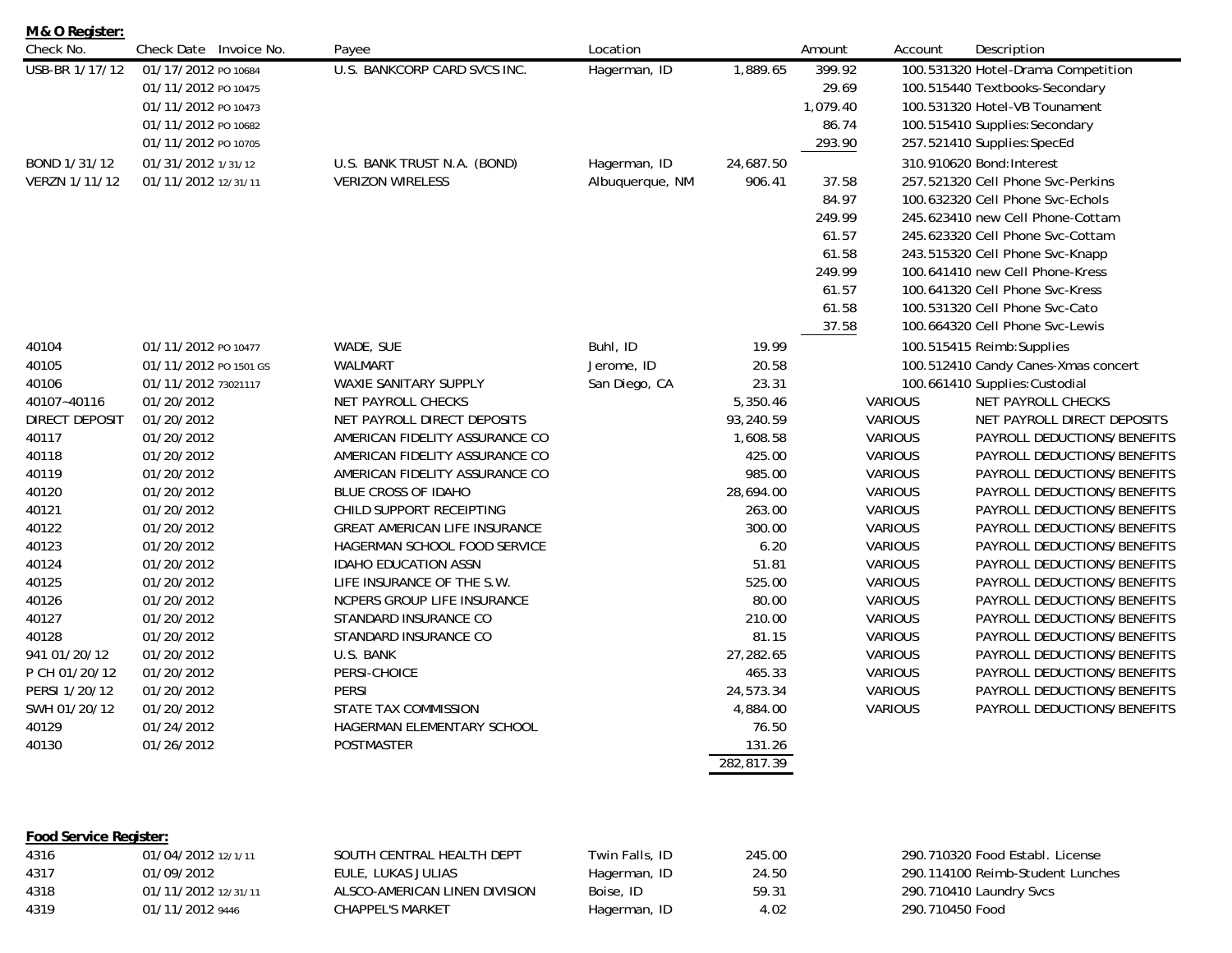| Check No.      | Check Date Invoice No. | Payee                                | Location        |            | Amount   | Account        | Description                         |
|----------------|------------------------|--------------------------------------|-----------------|------------|----------|----------------|-------------------------------------|
| USB-BR 1/17/12 | 01/17/2012 PO 10684    | U.S. BANKCORP CARD SVCS INC.         | Hagerman, ID    | 1,889.65   | 399.92   |                | 100.531320 Hotel-Drama Competition  |
|                | 01/11/2012 PO 10475    |                                      |                 |            | 29.69    |                | 100.515440 Textbooks-Secondary      |
|                | 01/11/2012 PO 10473    |                                      |                 |            | 1,079.40 |                | 100.531320 Hotel-VB Tounament       |
|                | 01/11/2012 PO 10682    |                                      |                 |            | 86.74    |                | 100.515410 Supplies: Secondary      |
|                | 01/11/2012 PO 10705    |                                      |                 |            | 293.90   |                | 257.521410 Supplies: SpecEd         |
| BOND 1/31/12   | 01/31/2012 1/31/12     | U.S. BANK TRUST N.A. (BOND)          | Hagerman, ID    | 24,687.50  |          |                | 310.910620 Bond: Interest           |
| VERZN 1/11/12  | 01/11/2012 12/31/11    | <b>VERIZON WIRELESS</b>              | Albuquerque, NM | 906.41     | 37.58    |                | 257.521320 Cell Phone Svc-Perkins   |
|                |                        |                                      |                 |            | 84.97    |                | 100.632320 Cell Phone Svc-Echols    |
|                |                        |                                      |                 |            | 249.99   |                | 245.623410 new Cell Phone-Cottam    |
|                |                        |                                      |                 |            | 61.57    |                | 245.623320 Cell Phone Svc-Cottam    |
|                |                        |                                      |                 |            | 61.58    |                | 243.515320 Cell Phone Svc-Knapp     |
|                |                        |                                      |                 |            | 249.99   |                | 100.641410 new Cell Phone-Kress     |
|                |                        |                                      |                 |            | 61.57    |                | 100.641320 Cell Phone Svc-Kress     |
|                |                        |                                      |                 |            | 61.58    |                | 100.531320 Cell Phone Svc-Cato      |
|                |                        |                                      |                 |            | 37.58    |                | 100.664320 Cell Phone Svc-Lewis     |
| 40104          | 01/11/2012 PO 10477    | WADE, SUE                            | Buhl, ID        | 19.99      |          |                | 100.515415 Reimb: Supplies          |
| 40105          | 01/11/2012 PO 1501 GS  | <b>WALMART</b>                       | Jerome, ID      | 20.58      |          |                | 100.512410 Candy Canes-Xmas concert |
| 40106          | 01/11/2012 73021117    | WAXIE SANITARY SUPPLY                | San Diego, CA   | 23.31      |          |                | 100.661410 Supplies: Custodial      |
| 40107~40116    | 01/20/2012             | NET PAYROLL CHECKS                   |                 | 5,350.46   |          | <b>VARIOUS</b> | NET PAYROLL CHECKS                  |
| DIRECT DEPOSIT | 01/20/2012             | NET PAYROLL DIRECT DEPOSITS          |                 | 93,240.59  |          | <b>VARIOUS</b> | NET PAYROLL DIRECT DEPOSITS         |
| 40117          | 01/20/2012             | AMERICAN FIDELITY ASSURANCE CO       |                 | 1,608.58   |          | <b>VARIOUS</b> | PAYROLL DEDUCTIONS/BENEFITS         |
| 40118          | 01/20/2012             | AMERICAN FIDELITY ASSURANCE CO       |                 | 425.00     |          | <b>VARIOUS</b> | PAYROLL DEDUCTIONS/BENEFITS         |
| 40119          | 01/20/2012             | AMERICAN FIDELITY ASSURANCE CO       |                 | 985.00     |          | <b>VARIOUS</b> | PAYROLL DEDUCTIONS/BENEFITS         |
| 40120          | 01/20/2012             | BLUE CROSS OF IDAHO                  |                 | 28,694.00  |          | <b>VARIOUS</b> | PAYROLL DEDUCTIONS/BENEFITS         |
| 40121          | 01/20/2012             | CHILD SUPPORT RECEIPTING             |                 | 263.00     |          | <b>VARIOUS</b> | PAYROLL DEDUCTIONS/BENEFITS         |
| 40122          | 01/20/2012             | <b>GREAT AMERICAN LIFE INSURANCE</b> |                 | 300.00     |          | <b>VARIOUS</b> | PAYROLL DEDUCTIONS/BENEFITS         |
| 40123          | 01/20/2012             | HAGERMAN SCHOOL FOOD SERVICE         |                 | 6.20       |          | <b>VARIOUS</b> | PAYROLL DEDUCTIONS/BENEFITS         |
| 40124          | 01/20/2012             | <b>IDAHO EDUCATION ASSN</b>          |                 | 51.81      |          | <b>VARIOUS</b> | PAYROLL DEDUCTIONS/BENEFITS         |
| 40125          | 01/20/2012             | LIFE INSURANCE OF THE S.W.           |                 | 525.00     |          | <b>VARIOUS</b> | PAYROLL DEDUCTIONS/BENEFITS         |
| 40126          | 01/20/2012             | NCPERS GROUP LIFE INSURANCE          |                 | 80.00      |          | <b>VARIOUS</b> | PAYROLL DEDUCTIONS/BENEFITS         |
| 40127          | 01/20/2012             | STANDARD INSURANCE CO                |                 | 210.00     |          | <b>VARIOUS</b> | PAYROLL DEDUCTIONS/BENEFITS         |
| 40128          | 01/20/2012             | STANDARD INSURANCE CO                |                 | 81.15      |          | <b>VARIOUS</b> | PAYROLL DEDUCTIONS/BENEFITS         |
| 941 01/20/12   | 01/20/2012             | U.S. BANK                            |                 | 27,282.65  |          | VARIOUS        | PAYROLL DEDUCTIONS/BENEFITS         |
| P CH 01/20/12  | 01/20/2012             | PERSI-CHOICE                         |                 | 465.33     |          | <b>VARIOUS</b> | PAYROLL DEDUCTIONS/BENEFITS         |
| PERSI 1/20/12  | 01/20/2012             | <b>PERSI</b>                         |                 | 24,573.34  |          | <b>VARIOUS</b> | PAYROLL DEDUCTIONS/BENEFITS         |
| SWH 01/20/12   | 01/20/2012             | STATE TAX COMMISSION                 |                 | 4,884.00   |          | <b>VARIOUS</b> | PAYROLL DEDUCTIONS/BENEFITS         |
| 40129          | 01/24/2012             | HAGERMAN ELEMENTARY SCHOOL           |                 | 76.50      |          |                |                                     |
| 40130          | 01/26/2012             | <b>POSTMASTER</b>                    |                 | 131.26     |          |                |                                     |
|                |                        |                                      |                 | 282,817.39 |          |                |                                     |
|                |                        |                                      |                 |            |          |                |                                     |

## **Food Service Register:**

**M & O Register:**

| 4316 | 01/04/2012 12/1/11  | SOUTH CENTRAL HEALTH DEPT     | Twin Falls, ID | 245.00 | 290.710320 Food Establ, License  |
|------|---------------------|-------------------------------|----------------|--------|----------------------------------|
| 4317 | 01/09/2012          | EULE, LUKAS JULIAS            | Hagerman, ID   | 24.50  | 290.114100 Reimb-Student Lunches |
| 4318 | 01/11/2012 12/31/11 | ALSCO-AMERICAN LINEN DIVISION | Boise, ID      | 59.31  | 290.710410 Laundry Svcs          |
| 4319 | 01/11/2012 9446     | CHAPPEL'S MARKET              | Hagerman, ID   | 4.02   | 290.710450 Food                  |